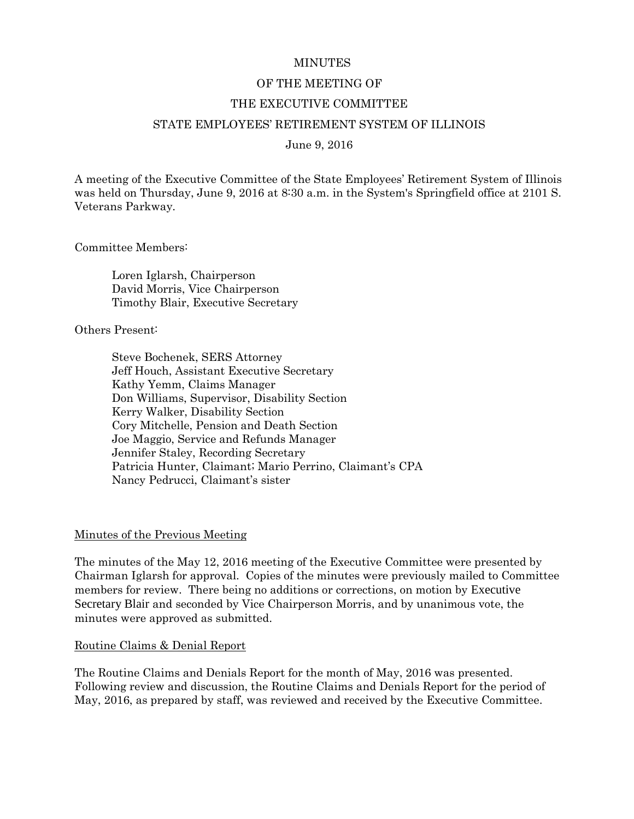### **MINUTES**

### OF THE MEETING OF

### THE EXECUTIVE COMMITTEE

#### STATE EMPLOYEES' RETIREMENT SYSTEM OF ILLINOIS

### June 9, 2016

A meeting of the Executive Committee of the State Employees' Retirement System of Illinois was held on Thursday, June 9, 2016 at 8:30 a.m. in the System's Springfield office at 2101 S. Veterans Parkway.

Committee Members:

Loren Iglarsh, Chairperson David Morris, Vice Chairperson Timothy Blair, Executive Secretary

Others Present:

Steve Bochenek, SERS Attorney Jeff Houch, Assistant Executive Secretary Kathy Yemm, Claims Manager Don Williams, Supervisor, Disability Section Kerry Walker, Disability Section Cory Mitchelle, Pension and Death Section Joe Maggio, Service and Refunds Manager Jennifer Staley, Recording Secretary Patricia Hunter, Claimant; Mario Perrino, Claimant's CPA Nancy Pedrucci, Claimant's sister

#### Minutes of the Previous Meeting

The minutes of the May 12, 2016 meeting of the Executive Committee were presented by Chairman Iglarsh for approval. Copies of the minutes were previously mailed to Committee members for review. There being no additions or corrections, on motion by Executive Secretary Blair and seconded by Vice Chairperson Morris, and by unanimous vote, the minutes were approved as submitted.

#### Routine Claims & Denial Report

The Routine Claims and Denials Report for the month of May, 2016 was presented. Following review and discussion, the Routine Claims and Denials Report for the period of May, 2016, as prepared by staff, was reviewed and received by the Executive Committee.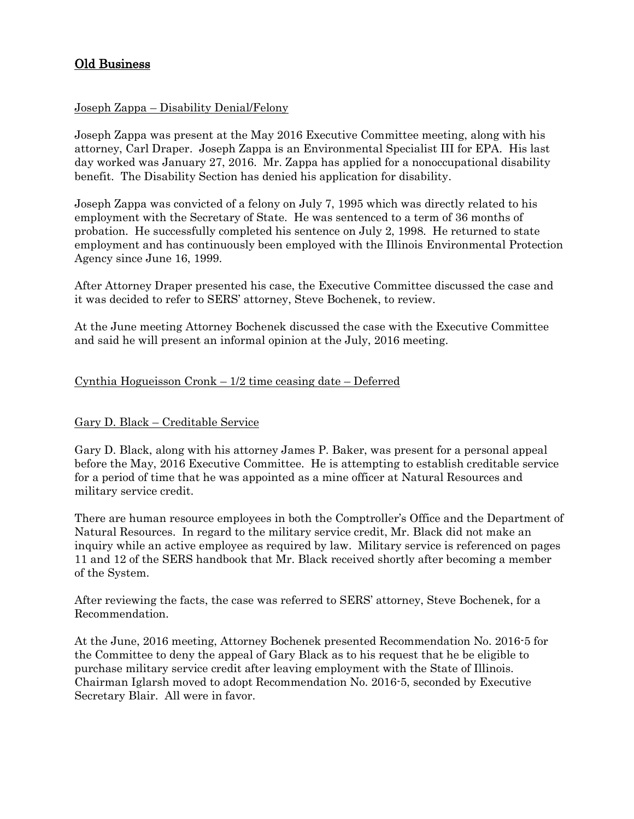# Old Business

## Joseph Zappa – Disability Denial/Felony

Joseph Zappa was present at the May 2016 Executive Committee meeting, along with his attorney, Carl Draper. Joseph Zappa is an Environmental Specialist III for EPA. His last day worked was January 27, 2016. Mr. Zappa has applied for a nonoccupational disability benefit. The Disability Section has denied his application for disability.

Joseph Zappa was convicted of a felony on July 7, 1995 which was directly related to his employment with the Secretary of State. He was sentenced to a term of 36 months of probation. He successfully completed his sentence on July 2, 1998. He returned to state employment and has continuously been employed with the Illinois Environmental Protection Agency since June 16, 1999.

After Attorney Draper presented his case, the Executive Committee discussed the case and it was decided to refer to SERS' attorney, Steve Bochenek, to review.

At the June meeting Attorney Bochenek discussed the case with the Executive Committee and said he will present an informal opinion at the July, 2016 meeting.

## Cynthia Hogueisson Cronk – 1/2 time ceasing date – Deferred

## Gary D. Black – Creditable Service

Gary D. Black, along with his attorney James P. Baker, was present for a personal appeal before the May, 2016 Executive Committee. He is attempting to establish creditable service for a period of time that he was appointed as a mine officer at Natural Resources and military service credit.

There are human resource employees in both the Comptroller's Office and the Department of Natural Resources. In regard to the military service credit, Mr. Black did not make an inquiry while an active employee as required by law. Military service is referenced on pages 11 and 12 of the SERS handbook that Mr. Black received shortly after becoming a member of the System.

After reviewing the facts, the case was referred to SERS' attorney, Steve Bochenek, for a Recommendation.

At the June, 2016 meeting, Attorney Bochenek presented Recommendation No. 2016-5 for the Committee to deny the appeal of Gary Black as to his request that he be eligible to purchase military service credit after leaving employment with the State of Illinois. Chairman Iglarsh moved to adopt Recommendation No. 2016-5, seconded by Executive Secretary Blair. All were in favor.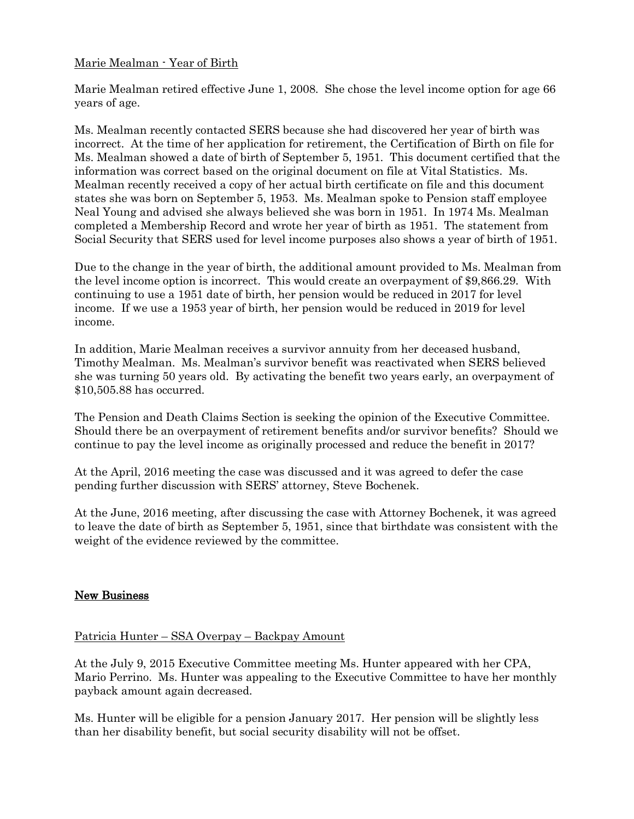## Marie Mealman - Year of Birth

Marie Mealman retired effective June 1, 2008. She chose the level income option for age 66 years of age.

Ms. Mealman recently contacted SERS because she had discovered her year of birth was incorrect. At the time of her application for retirement, the Certification of Birth on file for Ms. Mealman showed a date of birth of September 5, 1951. This document certified that the information was correct based on the original document on file at Vital Statistics. Ms. Mealman recently received a copy of her actual birth certificate on file and this document states she was born on September 5, 1953. Ms. Mealman spoke to Pension staff employee Neal Young and advised she always believed she was born in 1951. In 1974 Ms. Mealman completed a Membership Record and wrote her year of birth as 1951. The statement from Social Security that SERS used for level income purposes also shows a year of birth of 1951.

Due to the change in the year of birth, the additional amount provided to Ms. Mealman from the level income option is incorrect. This would create an overpayment of \$9,866.29. With continuing to use a 1951 date of birth, her pension would be reduced in 2017 for level income. If we use a 1953 year of birth, her pension would be reduced in 2019 for level income.

In addition, Marie Mealman receives a survivor annuity from her deceased husband, Timothy Mealman. Ms. Mealman's survivor benefit was reactivated when SERS believed she was turning 50 years old. By activating the benefit two years early, an overpayment of \$10,505.88 has occurred.

The Pension and Death Claims Section is seeking the opinion of the Executive Committee. Should there be an overpayment of retirement benefits and/or survivor benefits? Should we continue to pay the level income as originally processed and reduce the benefit in 2017?

At the April, 2016 meeting the case was discussed and it was agreed to defer the case pending further discussion with SERS' attorney, Steve Bochenek.

At the June, 2016 meeting, after discussing the case with Attorney Bochenek, it was agreed to leave the date of birth as September 5, 1951, since that birthdate was consistent with the weight of the evidence reviewed by the committee.

## New Business

## Patricia Hunter – SSA Overpay – Backpay Amount

At the July 9, 2015 Executive Committee meeting Ms. Hunter appeared with her CPA, Mario Perrino. Ms. Hunter was appealing to the Executive Committee to have her monthly payback amount again decreased.

Ms. Hunter will be eligible for a pension January 2017. Her pension will be slightly less than her disability benefit, but social security disability will not be offset.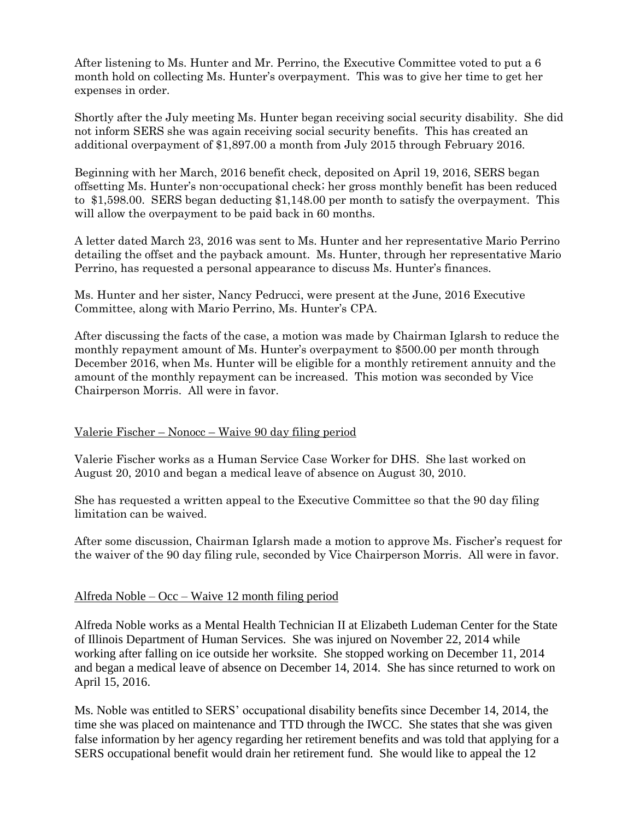After listening to Ms. Hunter and Mr. Perrino, the Executive Committee voted to put a 6 month hold on collecting Ms. Hunter's overpayment. This was to give her time to get her expenses in order.

Shortly after the July meeting Ms. Hunter began receiving social security disability. She did not inform SERS she was again receiving social security benefits. This has created an additional overpayment of \$1,897.00 a month from July 2015 through February 2016.

Beginning with her March, 2016 benefit check, deposited on April 19, 2016, SERS began offsetting Ms. Hunter's non-occupational check; her gross monthly benefit has been reduced to \$1,598.00. SERS began deducting \$1,148.00 per month to satisfy the overpayment. This will allow the overpayment to be paid back in 60 months.

A letter dated March 23, 2016 was sent to Ms. Hunter and her representative Mario Perrino detailing the offset and the payback amount. Ms. Hunter, through her representative Mario Perrino, has requested a personal appearance to discuss Ms. Hunter's finances.

Ms. Hunter and her sister, Nancy Pedrucci, were present at the June, 2016 Executive Committee, along with Mario Perrino, Ms. Hunter's CPA.

After discussing the facts of the case, a motion was made by Chairman Iglarsh to reduce the monthly repayment amount of Ms. Hunter's overpayment to \$500.00 per month through December 2016, when Ms. Hunter will be eligible for a monthly retirement annuity and the amount of the monthly repayment can be increased. This motion was seconded by Vice Chairperson Morris. All were in favor.

## Valerie Fischer – Nonocc – Waive 90 day filing period

Valerie Fischer works as a Human Service Case Worker for DHS. She last worked on August 20, 2010 and began a medical leave of absence on August 30, 2010.

She has requested a written appeal to the Executive Committee so that the 90 day filing limitation can be waived.

After some discussion, Chairman Iglarsh made a motion to approve Ms. Fischer's request for the waiver of the 90 day filing rule, seconded by Vice Chairperson Morris. All were in favor.

## Alfreda Noble – Occ – Waive 12 month filing period

Alfreda Noble works as a Mental Health Technician II at Elizabeth Ludeman Center for the State of Illinois Department of Human Services. She was injured on November 22, 2014 while working after falling on ice outside her worksite. She stopped working on December 11, 2014 and began a medical leave of absence on December 14, 2014. She has since returned to work on April 15, 2016.

Ms. Noble was entitled to SERS' occupational disability benefits since December 14, 2014, the time she was placed on maintenance and TTD through the IWCC. She states that she was given false information by her agency regarding her retirement benefits and was told that applying for a SERS occupational benefit would drain her retirement fund. She would like to appeal the 12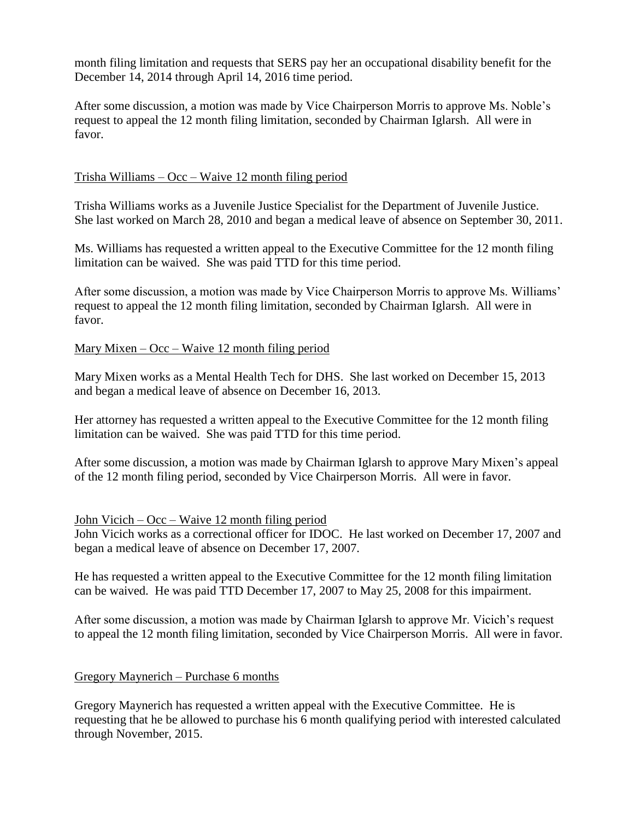month filing limitation and requests that SERS pay her an occupational disability benefit for the December 14, 2014 through April 14, 2016 time period.

After some discussion, a motion was made by Vice Chairperson Morris to approve Ms. Noble's request to appeal the 12 month filing limitation, seconded by Chairman Iglarsh. All were in favor.

## Trisha Williams – Occ – Waive 12 month filing period

Trisha Williams works as a Juvenile Justice Specialist for the Department of Juvenile Justice. She last worked on March 28, 2010 and began a medical leave of absence on September 30, 2011.

Ms. Williams has requested a written appeal to the Executive Committee for the 12 month filing limitation can be waived. She was paid TTD for this time period.

After some discussion, a motion was made by Vice Chairperson Morris to approve Ms. Williams' request to appeal the 12 month filing limitation, seconded by Chairman Iglarsh. All were in favor.

## Mary Mixen –  $Occ - Wave 12$  month filing period

Mary Mixen works as a Mental Health Tech for DHS. She last worked on December 15, 2013 and began a medical leave of absence on December 16, 2013.

Her attorney has requested a written appeal to the Executive Committee for the 12 month filing limitation can be waived. She was paid TTD for this time period.

After some discussion, a motion was made by Chairman Iglarsh to approve Mary Mixen's appeal of the 12 month filing period, seconded by Vice Chairperson Morris. All were in favor.

## John Vicich – Occ – Waive 12 month filing period

John Vicich works as a correctional officer for IDOC. He last worked on December 17, 2007 and began a medical leave of absence on December 17, 2007.

He has requested a written appeal to the Executive Committee for the 12 month filing limitation can be waived. He was paid TTD December 17, 2007 to May 25, 2008 for this impairment.

After some discussion, a motion was made by Chairman Iglarsh to approve Mr. Vicich's request to appeal the 12 month filing limitation, seconded by Vice Chairperson Morris. All were in favor.

## Gregory Maynerich – Purchase 6 months

Gregory Maynerich has requested a written appeal with the Executive Committee. He is requesting that he be allowed to purchase his 6 month qualifying period with interested calculated through November, 2015.